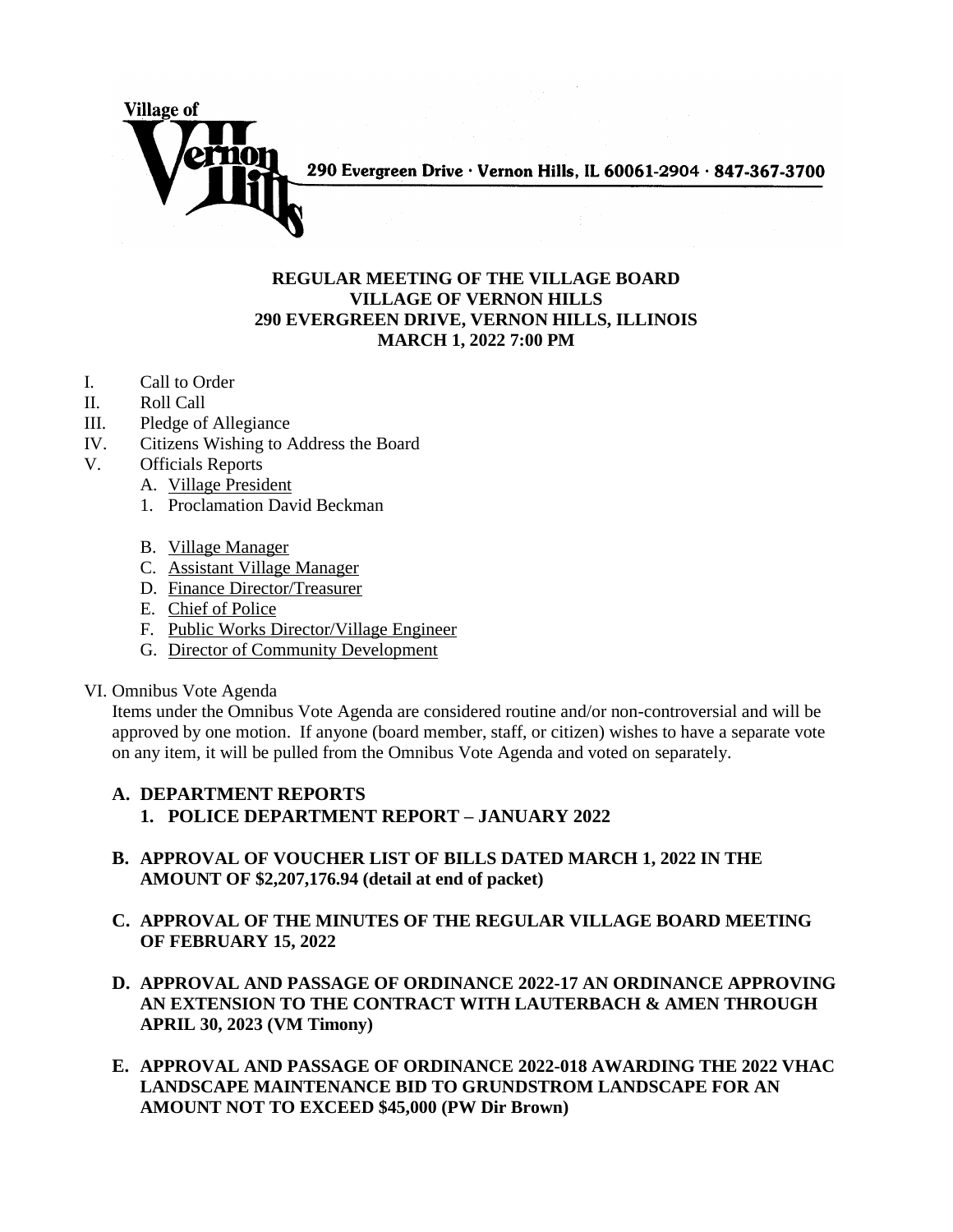

## **REGULAR MEETING OF THE VILLAGE BOARD VILLAGE OF VERNON HILLS 290 EVERGREEN DRIVE, VERNON HILLS, ILLINOIS MARCH 1, 2022 7:00 PM**

- I. Call to Order
- II. Roll Call
- III. Pledge of Allegiance
- IV. Citizens Wishing to Address the Board
- V. Officials Reports
	- A. Village President
		- 1. Proclamation David Beckman
		- B. Village Manager
		- C. Assistant Village Manager
		- D. Finance Director/Treasurer
		- E. Chief of Police
		- F. Public Works Director/Village Engineer
		- G. Director of Community Development
- VI. Omnibus Vote Agenda

Items under the Omnibus Vote Agenda are considered routine and/or non-controversial and will be approved by one motion. If anyone (board member, staff, or citizen) wishes to have a separate vote on any item, it will be pulled from the Omnibus Vote Agenda and voted on separately.

## **A. DEPARTMENT REPORTS 1. POLICE DEPARTMENT REPORT – JANUARY 2022**

- **B. APPROVAL OF VOUCHER LIST OF BILLS DATED MARCH 1, 2022 IN THE AMOUNT OF \$2,207,176.94 (detail at end of packet)**
- **C. APPROVAL OF THE MINUTES OF THE REGULAR VILLAGE BOARD MEETING OF FEBRUARY 15, 2022**
- **D. APPROVAL AND PASSAGE OF ORDINANCE 2022-17 AN ORDINANCE APPROVING AN EXTENSION TO THE CONTRACT WITH LAUTERBACH & AMEN THROUGH APRIL 30, 2023 (VM Timony)**
- **E. APPROVAL AND PASSAGE OF ORDINANCE 2022-018 AWARDING THE 2022 VHAC LANDSCAPE MAINTENANCE BID TO GRUNDSTROM LANDSCAPE FOR AN AMOUNT NOT TO EXCEED \$45,000 (PW Dir Brown)**